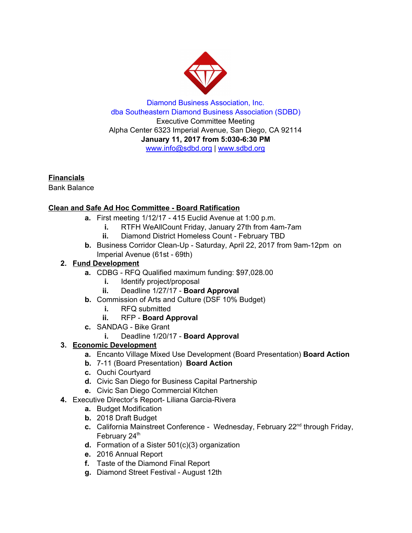

Diamond Business Association, Inc. dba Southeastern Diamond Business Association (SDBD) Executive Committee Meeting Alpha Center 6323 Imperial Avenue, San Diego, CA 92114 **January 11, 2017 from 5:030-6:30 PM** www.info@sdbd.org | [www.sdbd.org](http://www.sdbd.org/)

**Financials**

Bank Balance

## **Clean and Safe Ad Hoc Committee - Board Ratification**

- **a.** First meeting 1/12/17 415 Euclid Avenue at 1:00 p.m.
	- **i.** RTFH WeAllCount Friday, January 27th from 4am-7am
	- **ii.** Diamond District Homeless Count February TBD
- **b.** Business Corridor Clean-Up Saturday, April 22, 2017 from 9am-12pm on Imperial Avenue (61st - 69th)

## **2. Fund Development**

- **a.** CDBG RFQ Qualified maximum funding: \$97,028.00
	- **i.** Identify project/proposal
	- **ii.** Deadline 1/27/17 **Board Approval**
- **b.** Commission of Arts and Culture (DSF 10% Budget)
	- **i.** RFQ submitted
	- **ii.** RFP **Board Approval**
- **c.** SANDAG Bike Grant
	- **i.** Deadline 1/20/17 **Board Approval**

## **3. Economic Development**

- **a.** Encanto Village Mixed Use Development (Board Presentation) **Board Action**
- **b.** 7-11 (Board Presentation) **Board Action**
- **c.** Ouchi Courtyard
- **d.** Civic San Diego for Business Capital Partnership
- **e.** Civic San Diego Commercial Kitchen
- **4.** Executive Director's Report- Liliana Garcia-Rivera
	- **a.** Budget Modification
	- **b.** 2018 Draft Budget
	- c. California Mainstreet Conference Wednesday, February 22<sup>nd</sup> through Friday, February 24<sup>th</sup>
	- **d.** Formation of a Sister 501(c)(3) organization
	- **e.** 2016 Annual Report
	- **f.** Taste of the Diamond Final Report
	- **g.** Diamond Street Festival August 12th